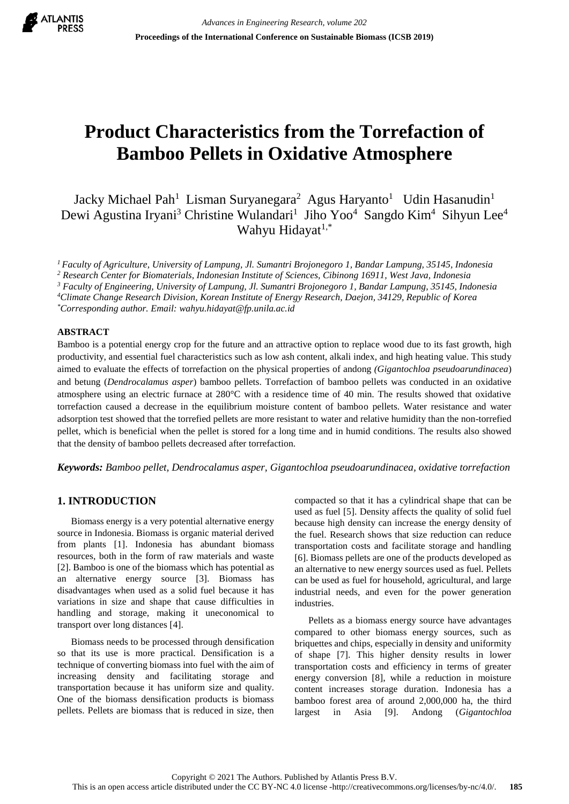

# **Product Characteristics from the Torrefaction of Bamboo Pellets in Oxidative Atmosphere**

Jacky Michael Pah<sup>1</sup> Lisman Suryanegara<sup>2</sup> Agus Haryanto<sup>1</sup> Udin Hasanudin<sup>1</sup> Dewi Agustina Iryani<sup>3</sup> Christine Wulandari<sup>1</sup> Jiho Yoo<sup>4</sup> Sangdo Kim<sup>4</sup> Sihyun Lee<sup>4</sup> Wahyu Hidayat<sup>1,\*</sup>

*<sup>1</sup>Faculty of Agriculture, University of Lampung, Jl. Sumantri Brojonegoro 1, Bandar Lampung, 35145, Indonesia*

*<sup>2</sup> Research Center for Biomaterials, Indonesian Institute of Sciences, Cibinong 16911, West Java, Indonesia*

*<sup>3</sup> Faculty of Engineering, University of Lampung, Jl. Sumantri Brojonegoro 1, Bandar Lampung, 35145, Indonesia*

*<sup>4</sup>Climate Change Research Division, Korean Institute of Energy Research, Daejon, 34129, Republic of Korea \*Corresponding author. Email: wahyu.hidayat@fp.unila.ac.id*

## **ABSTRACT**

Bamboo is a potential energy crop for the future and an attractive option to replace wood due to its fast growth, high productivity, and essential fuel characteristics such as low ash content, alkali index, and high heating value. This study aimed to evaluate the effects of torrefaction on the physical properties of andong *(Gigantochloa pseudoarundinacea*) and betung (*Dendrocalamus asper*) bamboo pellets. Torrefaction of bamboo pellets was conducted in an oxidative atmosphere using an electric furnace at 280°C with a residence time of 40 min. The results showed that oxidative torrefaction caused a decrease in the equilibrium moisture content of bamboo pellets. Water resistance and water adsorption test showed that the torrefied pellets are more resistant to water and relative humidity than the non-torrefied pellet, which is beneficial when the pellet is stored for a long time and in humid conditions. The results also showed that the density of bamboo pellets decreased after torrefaction.

*Keywords: Bamboo pellet, Dendrocalamus asper, Gigantochloa pseudoarundinacea, oxidative torrefaction*

# **1. INTRODUCTION**

Biomass energy is a very potential alternative energy source in Indonesia. Biomass is organic material derived from plants [1]. Indonesia has abundant biomass resources, both in the form of raw materials and waste [2]. Bamboo is one of the biomass which has potential as an alternative energy source [3]. Biomass has disadvantages when used as a solid fuel because it has variations in size and shape that cause difficulties in handling and storage, making it uneconomical to transport over long distances [4].

Biomass needs to be processed through densification so that its use is more practical. Densification is a technique of converting biomass into fuel with the aim of increasing density and facilitating storage and transportation because it has uniform size and quality. One of the biomass densification products is biomass pellets. Pellets are biomass that is reduced in size, then compacted so that it has a cylindrical shape that can be used as fuel [5]. Density affects the quality of solid fuel because high density can increase the energy density of the fuel. Research shows that size reduction can reduce transportation costs and facilitate storage and handling [6]. Biomass pellets are one of the products developed as an alternative to new energy sources used as fuel. Pellets can be used as fuel for household, agricultural, and large industrial needs, and even for the power generation industries.

Pellets as a biomass energy source have advantages compared to other biomass energy sources, such as briquettes and chips, especially in density and uniformity of shape [7]. This higher density results in lower transportation costs and efficiency in terms of greater energy conversion [8], while a reduction in moisture content increases storage duration. Indonesia has a bamboo forest area of around 2,000,000 ha, the third largest in Asia [9]. Andong (*Gigantochloa*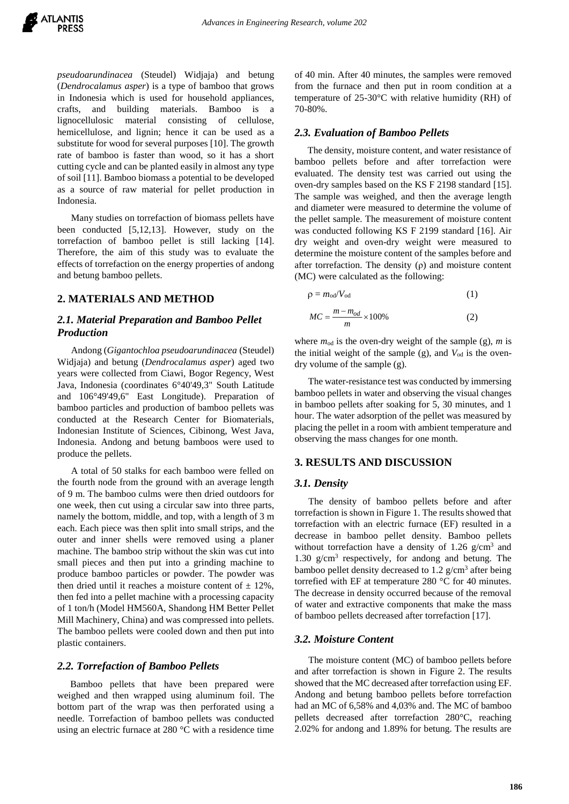*pseudoarundinacea* (Steudel) Widjaja) and betung (*Dendrocalamus asper*) is a type of bamboo that grows in Indonesia which is used for household appliances, crafts, and building materials. Bamboo is a lignocellulosic material consisting of cellulose, hemicellulose, and lignin; hence it can be used as a substitute for wood for several purposes [10]. The growth rate of bamboo is faster than wood, so it has a short cutting cycle and can be planted easily in almost any type of soil [11]. Bamboo biomass a potential to be developed as a source of raw material for pellet production in Indonesia.

Many studies on torrefaction of biomass pellets have been conducted [5,12,13]. However, study on the torrefaction of bamboo pellet is still lacking [14]. Therefore, the aim of this study was to evaluate the effects of torrefaction on the energy properties of andong and betung bamboo pellets.

## **2. MATERIALS AND METHOD**

## *2.1. Material Preparation and Bamboo Pellet Production*

Andong (*Gigantochloa pseudoarundinacea* (Steudel) Widjaja) and betung (*Dendrocalamus asper*) aged two years were collected from Ciawi, Bogor Regency, West Java, Indonesia (coordinates 6°40'49,3" South Latitude and 106°49'49,6" East Longitude). Preparation of bamboo particles and production of bamboo pellets was conducted at the Research Center for Biomaterials, Indonesian Institute of Sciences, Cibinong, West Java, Indonesia. Andong and betung bamboos were used to produce the pellets.

A total of 50 stalks for each bamboo were felled on the fourth node from the ground with an average length of 9 m. The bamboo culms were then dried outdoors for one week, then cut using a circular saw into three parts, namely the bottom, middle, and top, with a length of 3 m each. Each piece was then split into small strips, and the outer and inner shells were removed using a planer machine. The bamboo strip without the skin was cut into small pieces and then put into a grinding machine to produce bamboo particles or powder. The powder was then dried until it reaches a moisture content of  $\pm$  12%, then fed into a pellet machine with a processing capacity of 1 ton/h (Model HM560A, Shandong HM Better Pellet Mill Machinery, China) and was compressed into pellets. The bamboo pellets were cooled down and then put into plastic containers.

## *2.2. Torrefaction of Bamboo Pellets*

Bamboo pellets that have been prepared were weighed and then wrapped using aluminum foil. The bottom part of the wrap was then perforated using a needle. Torrefaction of bamboo pellets was conducted using an electric furnace at 280 °C with a residence time

of 40 min. After 40 minutes, the samples were removed from the furnace and then put in room condition at a temperature of 25-30°C with relative humidity (RH) of 70-80%.

#### *2.3. Evaluation of Bamboo Pellets*

The density, moisture content, and water resistance of bamboo pellets before and after torrefaction were evaluated. The density test was carried out using the oven-dry samples based on the KS F 2198 standard [15]. The sample was weighed, and then the average length and diameter were measured to determine the volume of the pellet sample. The measurement of moisture content was conducted following KS F 2199 standard [16]. Air dry weight and oven-dry weight were measured to determine the moisture content of the samples before and after torrefaction. The density  $(\rho)$  and moisture content (MC) were calculated as the following:

$$
\rho = m_{od}/V_{od} \tag{1}
$$

$$
MC = \frac{m - m_{od}}{m} \times 100\% \tag{2}
$$

where  $m_{od}$  is the oven-dry weight of the sample (g),  $m$  is the initial weight of the sample (g), and  $V_{od}$  is the ovendry volume of the sample (g).

The water-resistance test was conducted by immersing bamboo pellets in water and observing the visual changes in bamboo pellets after soaking for 5, 30 minutes, and 1 hour. The water adsorption of the pellet was measured by placing the pellet in a room with ambient temperature and observing the mass changes for one month.

#### **3. RESULTS AND DISCUSSION**

## *3.1. Density*

The density of bamboo pellets before and after torrefaction is shown in Figure 1. The results showed that torrefaction with an electric furnace (EF) resulted in a decrease in bamboo pellet density. Bamboo pellets without torrefaction have a density of  $1.26$  g/cm<sup>3</sup> and 1.30 g/cm<sup>3</sup> respectively, for andong and betung. The bamboo pellet density decreased to  $1.2$  g/cm<sup>3</sup> after being torrefied with EF at temperature 280 °C for 40 minutes. The decrease in density occurred because of the removal of water and extractive components that make the mass of bamboo pellets decreased after torrefaction [17].

#### *3.2. Moisture Content*

The moisture content (MC) of bamboo pellets before and after torrefaction is shown in Figure 2. The results showed that the MC decreased after torrefaction using EF. Andong and betung bamboo pellets before torrefaction had an MC of 6,58% and 4,03% and. The MC of bamboo pellets decreased after torrefaction 280°C, reaching 2.02% for andong and 1.89% for betung. The results are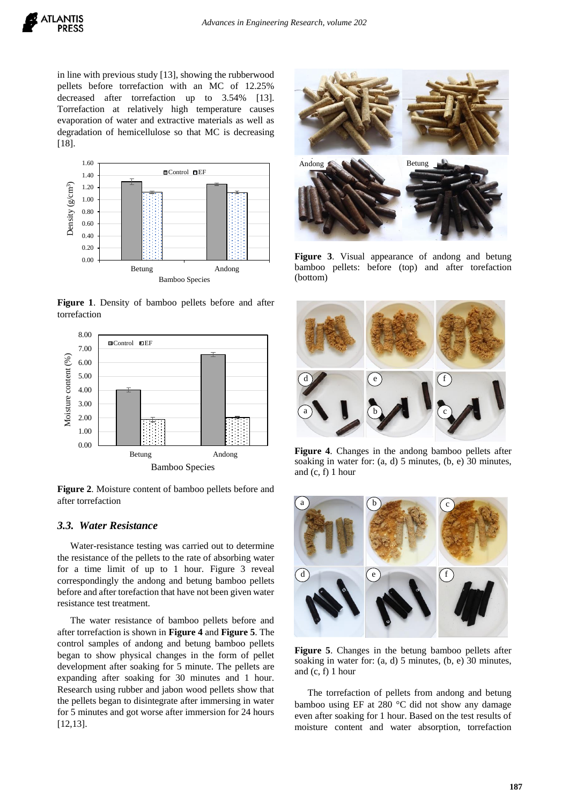

in line with previous study [13], showing the rubberwood pellets before torrefaction with an MC of 12.25% decreased after torrefaction up to 3.54% [13]. Torrefaction at relatively high temperature causes evaporation of water and extractive materials as well as degradation of hemicellulose so that MC is decreasing [18].



**Figure 1**. Density of bamboo pellets before and after torrefaction



**Figure 2**. Moisture content of bamboo pellets before and after torrefaction

## *3.3. Water Resistance*

Water-resistance testing was carried out to determine the resistance of the pellets to the rate of absorbing water for a time limit of up to 1 hour. Figure 3 reveal correspondingly the andong and betung bamboo pellets before and after torefaction that have not been given water resistance test treatment.

The water resistance of bamboo pellets before and after torrefaction is shown in **Figure 4** and **Figure 5**. The control samples of andong and betung bamboo pellets began to show physical changes in the form of pellet development after soaking for 5 minute. The pellets are expanding after soaking for 30 minutes and 1 hour. Research using rubber and jabon wood pellets show that the pellets began to disintegrate after immersing in water for 5 minutes and got worse after immersion for 24 hours [12,13].



**Figure 3**. Visual appearance of andong and betung bamboo pellets: before (top) and after torefaction (bottom)



**Figure 4**. Changes in the andong bamboo pellets after soaking in water for: (a, d) 5 minutes, (b, e) 30 minutes, and  $(c, f)$  1 hour



**Figure 5**. Changes in the betung bamboo pellets after soaking in water for: (a, d) 5 minutes, (b, e) 30 minutes, and (c, f) 1 hour

The torrefaction of pellets from andong and betung bamboo using EF at 280 °C did not show any damage even after soaking for 1 hour. Based on the test results of moisture content and water absorption, torrefaction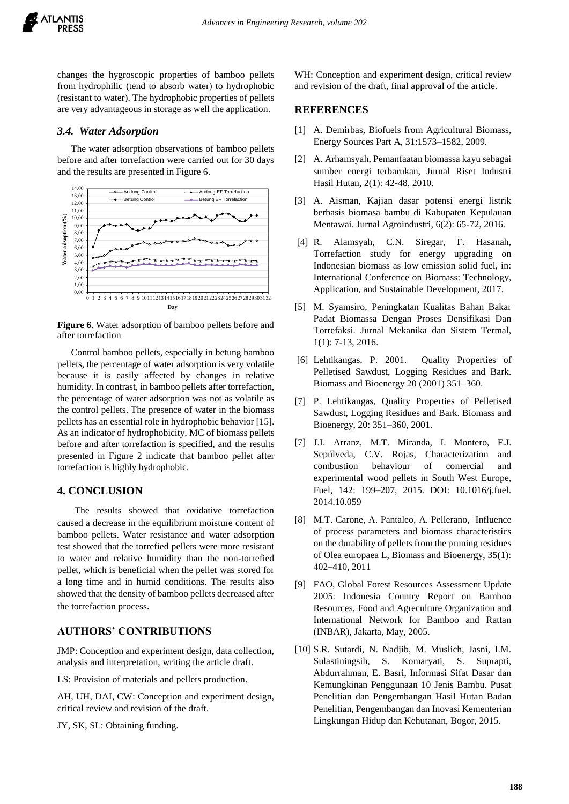

changes the hygroscopic properties of bamboo pellets from hydrophilic (tend to absorb water) to hydrophobic (resistant to water). The hydrophobic properties of pellets are very advantageous in storage as well the application.

## *3.4. Water Adsorption*

The water adsorption observations of bamboo pellets before and after torrefaction were carried out for 30 days and the results are presented in Figure 6.



**Figure 6**. Water adsorption of bamboo pellets before and after torrefaction

Control bamboo pellets, especially in betung bamboo pellets, the percentage of water adsorption is very volatile because it is easily affected by changes in relative humidity. In contrast, in bamboo pellets after torrefaction, the percentage of water adsorption was not as volatile as the control pellets. The presence of water in the biomass pellets has an essential role in hydrophobic behavior [15]. As an indicator of hydrophobicity, MC of biomass pellets before and after torrefaction is specified, and the results presented in Figure 2 indicate that bamboo pellet after torrefaction is highly hydrophobic.

## **4. CONCLUSION**

The results showed that oxidative torrefaction caused a decrease in the equilibrium moisture content of bamboo pellets. Water resistance and water adsorption test showed that the torrefied pellets were more resistant to water and relative humidity than the non-torrefied pellet, which is beneficial when the pellet was stored for a long time and in humid conditions. The results also showed that the density of bamboo pellets decreased after the torrefaction process.

# **AUTHORS' CONTRIBUTIONS**

JMP: Conception and experiment design, data collection, analysis and interpretation, writing the article draft.

LS: Provision of materials and pellets production.

AH, UH, DAI, CW: Conception and experiment design, critical review and revision of the draft.

JY, SK, SL: Obtaining funding.

WH: Conception and experiment design, critical review and revision of the draft, final approval of the article.

## **REFERENCES**

- [1] A. Demirbas, Biofuels from Agricultural Biomass, Energy Sources Part A, 31:1573–1582, 2009.
- [2] A. Arhamsyah, Pemanfaatan biomassa kayu sebagai sumber energi terbarukan, Jurnal Riset Industri Hasil Hutan, 2(1): 42-48, 2010.
- [3] A. Aisman, Kajian dasar potensi energi listrik berbasis biomasa bambu di Kabupaten Kepulauan Mentawai. Jurnal Agroindustri, 6(2): 65-72, 2016.
- [4] R. Alamsyah, C.N. Siregar, F. Hasanah, Torrefaction study for energy upgrading on Indonesian biomass as low emission solid fuel, in: International Conference on Biomass: Technology, Application, and Sustainable Development, 2017.
- [5] M. Syamsiro, Peningkatan Kualitas Bahan Bakar Padat Biomassa Dengan Proses Densifikasi Dan Torrefaksi. Jurnal Mekanika dan Sistem Termal, 1(1): 7-13, 2016.
- [6] Lehtikangas, P. 2001. Quality Properties of Pelletised Sawdust, Logging Residues and Bark. Biomass and Bioenergy 20 (2001) 351–360.
- [7] P. Lehtikangas, Quality Properties of Pelletised Sawdust, Logging Residues and Bark. Biomass and Bioenergy, 20: 351–360, 2001.
- [7] J.I. Arranz, M.T. Miranda, I. Montero, F.J. Sepúlveda, C.V. Rojas, Characterization and combustion behaviour of comercial and experimental wood pellets in South West Europe, Fuel, 142: 199–207, 2015. DOI: 10.1016/j.fuel. 2014.10.059
- [8] M.T. Carone, A. Pantaleo, A. Pellerano, Influence of process parameters and biomass characteristics on the durability of pellets from the pruning residues of Olea europaea L, Biomass and Bioenergy, 35(1): 402–410, 2011
- [9] FAO, Global Forest Resources Assessment Update 2005: Indonesia Country Report on Bamboo Resources, Food and Agreculture Organization and International Network for Bamboo and Rattan (INBAR), Jakarta, May, 2005.
- [10] S.R. Sutardi, N. Nadjib, M. Muslich, Jasni, I.M. Sulastiningsih, S. Komaryati, S. Suprapti, Abdurrahman, E. Basri, Informasi Sifat Dasar dan Kemungkinan Penggunaan 10 Jenis Bambu. Pusat Penelitian dan Pengembangan Hasil Hutan Badan Penelitian, Pengembangan dan Inovasi Kementerian Lingkungan Hidup dan Kehutanan, Bogor, 2015.